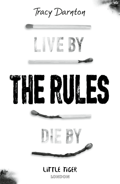Tracy Darnton











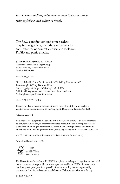*For Tricia and Pete, who always seem to know which rules to follow and which to break.* 

*The Rules* contains content some readers may find triggering, including references to and instances of domestic abuse and violence, PTSD and panic attacks.

STRIPES PUBLISHING LIMITED An imprint of the Little Tiger Group 1 Coda Studios, 189 Munster Road, London SW6 6AW

www.littletiger.co.uk

First published in Great Britain by Stripes Publishing Limited in 2020 Text copyright © Tracy Darnton, 2020 Cover copyright © Stripes Publishing Limited, 2020 Additional images used under licence from Shutterstock.com Author photograph © Charlie Matters

ISBN: 978-1-78895-214-9

The right of Tracy Darnton to be identified as the author of this work has been asserted by her in accordance with the Copyright, Designs and Patents Act, 1988.

All rights reserved.

This book is sold subject to the condition that it shall not, by way of trade or otherwise, be lent, resold, hired out, or otherwise circulated without the publisher's prior consent in any form of binding or cover other than that in which it is published and without a similar condition including this condition, being imposed upon the subsequent purchaser.

A CIP catalogue record for this book is available from the British Library.

Printed and bound in the UK.



The Forest Stewardship Council® (FSC®) is a global, not-for-profit organization dedicated to the promotion of responsible forest management worldwide. FSC defines standards based on agreed principles for responsible forest stewardship that are supported by environmental, social, and economic stakeholders. To learn more, visit www.fsc.org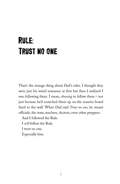## Rule: Trust no one

That's the strange thing about Dad's rules. I thought they were just his weird nonsense at first but then I realized I was following them. I mean, *choosing* to follow them – not just because he'd scratched them up on the massive board fixed to the wall. When Dad said *Trust no one*, he meant officials, the state, teachers, doctors, even other preppers.

And I followed the Rule.

I *still* follow the Rule.

I trust no one.

Especially him.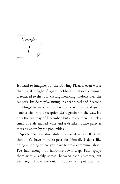December  $\int$ 

It's hard to imagine, but the Bowling Plaza is even worse than usual tonight. A giant, bobbing inflatable snowman is tethered to the roof, casting menacing shadows over the car park. Inside they've strung up cheap tinsel and 'Season's Greetings' banners, and a plastic tree with red and green baubles sits on the reception desk, getting in the way. It's only the first day of December, but already there's a sickly smell of stale mulled wine and a drunken office party is messing about by the pool tables.

Spotty Paul on shoe duty is dressed as an elf. You'd think he'd have more respect for himself. I don't like doing anything where you have to wear communal shoes. I've had enough of hand-me-down crap. Paul sprays them with a sickly aerosol between each customer, but even so, it freaks me out. I shudder as I put them on.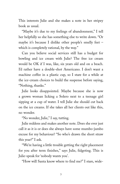This interests Julie and she makes a note in her stripey book as usual.

"Maybe it's due to my feelings of abandonment," I tell her helpfully so she has something else to write down. "Or maybe it's because I dislike other people's smelly feet which is completely rational, by the way."

Can you believe social services still has a budget for bowling and ice cream with Julie? The free ice cream would be OK if I was, like, six years old and on a beach. I'd rather have a double-shot Americano. I don't want a machine coffee in a plastic cup, so I stare for a while at the ice-cream choices to build the suspense before saying, "Nothing, thanks."

Julie looks disappointed. Maybe because she is now a grown woman licking a Solero next to a teenage girl sipping at a cup of water. I tell Julie she should cut back on the ice creams. If she takes all her clients out like this, no wonder.

"No wonder, Julie," I say, tutting.

Julie reddens and makes another note. Does she ever just call it as it is or does she always have some mumbo-jumbo excuse for my behaviour? "So who's drawn the short straw this year?" I ask.

"We're having a little trouble getting the right placement for you after term finishes," says Julie, fidgeting. This is Julie-speak for 'nobody wants you'.

"How will Santa know where to find me?" I stare, wide-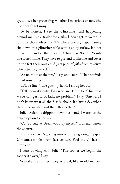eyed. I see her processing whether I'm serious or not. She just doesn't get irony.

To be honest, I see the Christmas stuff happening around me like a trailer for a film I don't get to watch in full; like those adverts on TV where one big happy family sits down at a glittering table with a shiny turkey. It's not my world. I'm like the Ghost of Christmas No One Wants in a foster home. They have to pretend to like me and cover up the fact their own child gets piles of gifts from relatives who actually give a damn.

"So no room at the inn," I say, and laugh. "That reminds me of something."

"It'll be fine." Julie pats my hand. I shrug her off.

"Tell them it's only dogs who aren't just for Christmas – you can get rid of kids, no problem," I say. "Anyway, I don't know what all the fuss is about. It's just a day when the shops are shut and the telly's better."

Julie's Solero is dripping down her hand. I watch as the drip plops on to her lap.

"Can't I stay at Beechwood by myself?" I already know the answer.

The office party's getting rowdier, singing along to piped Christmas singles from last century. Paul the elf has to intervene.

I start bowling with Julie. "The sooner we begin, the sooner it's over," I say.

We take the furthest alley as usual, like an old married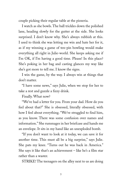couple picking their regular table at the pizzeria.

I watch as she bowls. The ball trickles down the polished lane, heading slowly for the gutter at the side. She looks surprised. I don't know why. She's always rubbish at this. I used to think she was letting me win and hate her for it, as if my winning a game of ten-pin bowling would make everything all right in Julie-world. She keeps asking me if I'm OK, if I'm having a good time. Please! In this place? She's poking in her bag and casting glances my way like she's got more to tell me. I know the signs.

I win the game, by the way. I always win at things that don't matter.

"I have some news," says Julie, when we stop for her to take a rest and guzzle a fizzy drink.

Finally. What now?

"We've had a letter for you. From your dad. How do you feel about that?" She is obsessed, literally obsessed, with how I feel about everything. "We've struggled to find him, as you know. There was some confusion over names and information." She rummages in her briefcase and hands me an envelope. It sits in my hand like an unexploded bomb.

"If you don't want to look at it today, we can save it for another time. This must all be a big surprise," says Julie. She pats my knee. "Turns out he was back in America." She says it like that's an achievement – like he's a film star rather than a waster.

STRIKE! The teenagers on the alley next to us are doing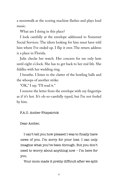a moonwalk as the scoring machine flashes and plays loud music.

What am I doing in this place?

I look carefully at the envelope addressed to Somerset Social Services. The idiots looking for him must have told him where I've ended up. I flip it over. The return address is a place in Florida.

Julie checks her watch. Her concern for me only lasts until eight o'clock. She has to get back to her real life. She fiddles with her wedding ring.

I breathe. I listen to the clatter of the bowling balls and the whoops of another strike.

"OK," I say. "I'll read it."

I remove the letter from the envelope with my fingertips as if it's hot. It's oh-so-carefully typed, but I'm not fooled by him.

## F.A.O. Amber Fitzpatrick

## Dear Amber,

I can't tell you how pleased I was to finally have news of you. I'm sorry for your loss. I can only imagine what you've been through. But you don't need to worry about anything now – I'm here for you.

Your mom made it pretty difficult after we split

6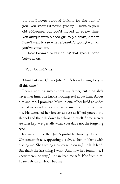up, but I never stopped looking for the pair of you. You know I'd never give up. I went to your old addresses, but you'd moved on every time. You always were a hard girl to pin down, Amber. I can't wait to see what a beautiful young woman you've grown into.

I look forward to rekindling that special bond between us.

Your loving father

"Short but sweet," says Julie. "He's been looking for you all this time."

There's nothing sweet about my father, but then she's never met him. She knows nothing real about him. About him and me. I promised Mum in one of her lucid episodes that I'd never tell anyone what he used to do to her … to me. He damaged her forever as sure as if he'd poured the alcohol and the pills down her throat himself. Some secrets are safer kept – especially when your dad's not the forgiving type.

It dawns on me that Julie's probably thinking Dad's the Christmas miracle, appearing to solve all her problems with placing me. She's seeing a happy reunion in Julie la-la land. But that's the last thing I want. And now he's found me, I know there's no way Julie can keep me safe. Not from him. I can't rely on anybody but me.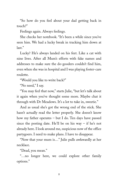"So how do you feel about your dad getting back in touch?"

Feelings again. Always feelings.

She checks her notebook. "It's been a while since you've seen him. We had a lucky break in tracking him down at last."

Lucky? He's always landed on his feet. Like a cat with nine lives. After all Mum's efforts with fake names and addresses to make sure the do-gooders couldn't find him, even when she was in hospital and I was playing foster-care roulette.

"Would you like to write back?"

"No need," I say.

"You may feel that now," starts Julie, "but let's talk about it again when you've thought some more. Maybe chat it through with Dr Meadows. It's a lot to take in, sweetie."

And as usual she's got the wrong end of the stick. She hasn't actually read the letter properly. She doesn't know how my father operates – but I do. Ten days have passed since the posting date. He'll be on his way – if he's not already here. I look around me, suspicious now of the office partygoers. I need to make plans. I have to disappear.

"Now that your mum is…" Julie pulls awkwardly at her necklace.

"Dead, you mean."

"…no longer here, we could explore other family options."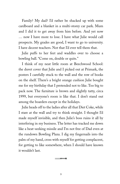Family? My dad? I'd rather be shacked up with some cardboard and a blanket in a multi-storey car park. Mum and I did it to get away from him before. And yet now … now I have more to lose. I have what Julie would call prospects. My grades are good, I want to go to university. I have decent teachers. Not that I'd ever tell them that.

Julie puffs to her feet and waddles over to choose a bowling ball. "Come on, double or quits."

I think of my neat little room at Beechwood School: the duvet cover that Julie and I picked out at Primark, the posters I carefully stuck to the wall and the row of books on the shelf. There's a bright orange cushion Julie bought me for my birthday that I pretended not to like. Too big to pack now. The furniture is brown and slightly tatty, circa 1999, but everyone's room is like that. I don't stand out among the boarders except in the holidays.

Julie heads off to the ladies after all that Diet Coke, while I stare at the wall and try to think straight. I thought I'd made myself invisible, and then Julie's boss ruins it all by interfering in my business. The letter has tracked me down like a heat-seeking missile and I'm not free of Dad even at the rundown Bowling Plaza. I dig my fingernails into the palm of my hand, cross with myself for getting complacent, for getting to like somewhere, when I should have known it wouldn't last.

 $\sim$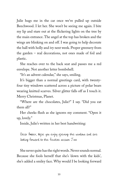Julie hugs me in the car once we've pulled up outside Beechwood. I let her. She won't be seeing me again. I bite my lip and stare out at the flickering lights on the tree by the main entrance. The angel at the top has broken and the wings are blinking on and off. I was going to help decorate the hall with holly and ivy next week. Proper greenery from the garden – real decorations, not ones made of foil and plastic.

She reaches over to the back seat and passes me a red envelope. Not another letter bombshell.

"It's an advent calendar," she says, smiling.

It's bigger than a normal greetings card, with twentyfour tiny windows scattered across a picture of polar bears wearing knitted scarves. Silver glitter falls off as I touch it. Merry Christmas, Planet.

"Where are the chocolates, Julie?" I say. "Did you eat them all?"

Her cheeks flush as she ignores my comment. "Open it up, lovely."

Inside, Julie's written in her best handwriting:

Dear Amber, Hope you enjoy opening the windows and are looking forward to the festive season. J xxx

She never quite has the right words. Never sounds normal. Because she fools herself that she's 'down with the kids', she's added a smiley face. Why would I be looking forward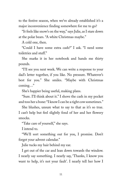to the festive season, when we've already established it's a major inconvenience finding somewhere for me to go?

"It feels like snow's on the way," says Julie, as I stare down at the polar bears. "A white Christmas maybe."

A cold one, then.

"Could I have some extra cash?" I ask. "I need some toiletries and stuff."

She marks it in her notebook and hands me thirty pounds.

"I'll see you next week. We can write a response to your dad's letter together, if you like. No pressure. Whatever's best for you." She smiles. "Maybe with Christmas coming…"

She's happier being useful, making plans.

"Sure. I'll think about it." I shove the cash in my pocket and toss her a bone: "I know I can be a right cow sometimes."

She blushes, unsure what to say to that as it's so true. I can't help but feel slightly fond of her and her flowery smocks.

"Take care of yourself," she says.

I intend to.

"We'll sort something out for you, I promise. Don't forget your advent calendar."

Julie tucks my hair behind my ear.

I get out of the car and lean down towards the window. I nearly say something. I nearly say, 'Thanks, I know you want to help, it's not your fault'. I nearly tell her how I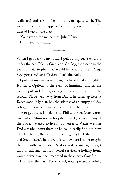really feel and ask for help, but I can't quite do it. The weight of all that's happened is pushing on my chest. So instead I tap on the glass.

"Go easy on the mince pies, Julie," I say.

I turn and walk away.

When I get back to my room, I pull out my rucksack from under the bed. It's my Grab-and-Go Bag, for escape in the event of catastrophe. Dad would be proud of me. *Always have your Grab-and-Go Bag.* That's the Rule.

 $\overline{\phantom{a}}$ 

I pull out my emergency plan, my hands shaking slightly. It's short. Options in the event of imminent disaster are to stay put and fortify, or bug out and go. I choose the second. I'll be well away from Dad if he turns up here at Beechwood. My plan has the address of an empty holiday cottage hundreds of miles away in Northumberland and how to get there. It belongs to Phil and Sue, foster carers from when Mum was in hospital. I can't go back to any of the places we used to live in Somerset or Wales – either Dad already knows them or he could easily find out now. Our last home, the farm, I'm *never* going back there. Phil and Sue's place, The Haven, is somewhere I came to *after*  that life with Dad ended. And even if he manages to get hold of information from social services, a holiday home would never have been recorded in the chaos of my file.

I retrieve the cash I've stashed; notes pressed carefully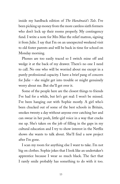inside my hardback edition of *The Handmaid's Tale*. I've been picking up money from the more careless sixth formers who don't lock up their rooms properly. My contingency fund. I write a note for Mrs Maz the relief matron, signing it from Julie. I say that I'm on an unexpected weekend visit to old foster parents and will be back in time for school on Monday morning.

Phones are too easily traced so I switch mine off and wedge it at the back of my drawer. There's no one I need to call. No one who will be worried about me except in a purely professional capacity. I have a brief pang of concern for Julie – she might get into trouble or might genuinely worry about me. But she'll get over it.

Some of the people here are the closest things to friends I've had for a while, but let's get real: I won't be missed. I've been hanging out with Sophie mostly. A girl who's been chucked out of some of the best schools in Britain, smokes twenty a day without anyone ever catching her and can swear in her posh, little-girl voice in a way that cracks me up. She's taken on the job of filling in the gaps in my cultural education and I try to show interest in the Netflix shows she wants to talk about. She'll find a new project after I'm gone.

I scan my room for anything else I want to take. I'm not big on clothes. Sophie jokes that I look like an undertaker's apprentice because I wear so much black. The fact that I rarely smile probably has something to do with it too.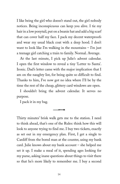I like being the girl who doesn't stand out, the girl nobody notices. Being inconspicuous can keep you alive. I tie my hair in a low ponytail, put on a beanie hat and add a big scarf that can cover half my face. I pack my decent waterproofs and wear my usual black coat with a deep hood. I don't want to look like I'm walking in the mountains – I'm just a teenage girl catching a train to family. Normal. Average.

At the last minute, I pick up Julie's advent calendar. I open the first window to reveal a tiny 'Letter to Santa'. Ironic. Dad's letter came with the major implication that I am on the naughty list, for being quite so difficult to find. Thanks to him, I've now got no idea where I'll be by the time the rest of the cheap, glittery card windows are open.

I shouldn't bring the advent calendar. It serves no purpose.

 $\longrightarrow$ 

I pack it in my bag.

Thirty minutes' brisk walk gets me to the station. I need to think ahead, that's one of the Rules: think how this will look to anyone trying to find me. I buy two tickets, exactly as set out in my emergency plan. First, I get a single to Cardiff from the bored man at the counter, using my bank card. Julie knows about my bank account – she helped me set it up. I make a meal of it, spending ages looking for my purse, asking inane questions about things to visit there so that he's more likely to remember me. I buy a second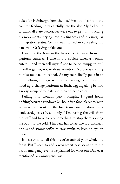ticket for Edinburgh from the machine out of sight of the counter, feeding notes carefully into the slot. My dad came to think all state authorities were out to get him, tracking his movements, prying into his finances and his irregular immigration status. So I'm well trained in concealing my data trail. Or laying a fake one.

I wait for the train in the ladies' toilets, away from any platform cameras. I dive into a cubicle when a woman enters – and then tell myself not to be so jumpy, to pull myself together, not to draw attention. No one is coming to take me back to school. As my train finally pulls in to the platform, I merge with other passengers and hop on, hood up. I change platforms at Bath, tagging along behind a noisy group of tourists and their wheelie cases.

Pulling into London past midnight, I spend hours drifting between rundown 24-hour fast-food places to keep warm while I wait for the first train north. I don't use a bank card, just cash, and only if I'm getting the evils from the staff and have to buy something to stop them kicking me out into the cold. This cash has to last me. I drink fizzy drinks and strong coffee to stay awake to keep an eye on my stuff.

It's easier to do all this if you've trained your whole life for it. But I need to add a new worst-case scenario to the list of emergency events we planned for – not one Dad ever mentioned. *Running from him.*